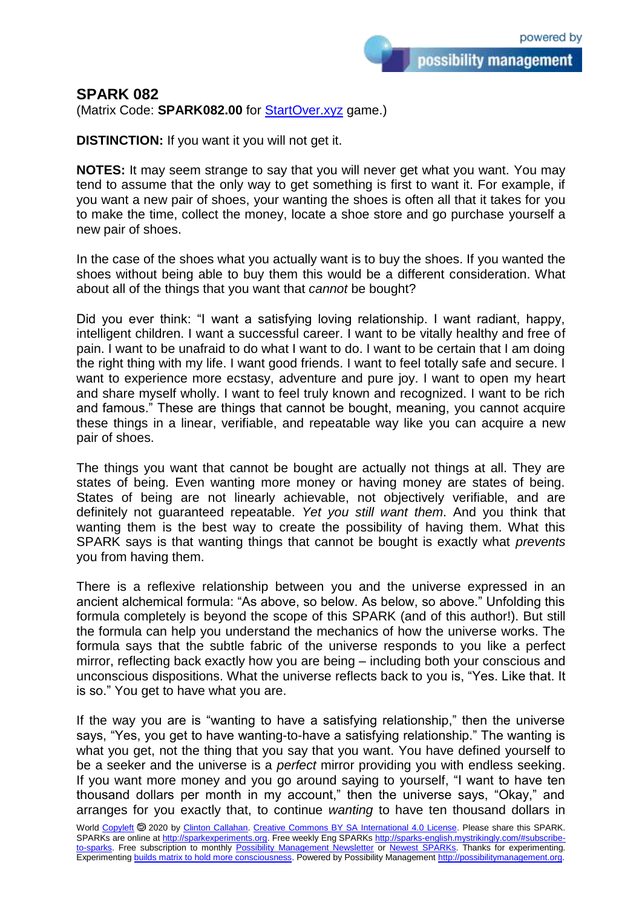possibility management

## **SPARK 082**

(Matrix Code: **SPARK082.00** for [StartOver.xyz](https://startoverxyz.mystrikingly.com/) game.)

**DISTINCTION:** If you want it you will not get it.

**NOTES:** It may seem strange to say that you will never get what you want. You may tend to assume that the only way to get something is first to want it. For example, if you want a new pair of shoes, your wanting the shoes is often all that it takes for you to make the time, collect the money, locate a shoe store and go purchase yourself a new pair of shoes.

In the case of the shoes what you actually want is to buy the shoes. If you wanted the shoes without being able to buy them this would be a different consideration. What about all of the things that you want that *cannot* be bought?

Did you ever think: "I want a satisfying loving relationship. I want radiant, happy, intelligent children. I want a successful career. I want to be vitally healthy and free of pain. I want to be unafraid to do what I want to do. I want to be certain that I am doing the right thing with my life. I want good friends. I want to feel totally safe and secure. I want to experience more ecstasy, adventure and pure joy. I want to open my heart and share myself wholly. I want to feel truly known and recognized. I want to be rich and famous." These are things that cannot be bought, meaning, you cannot acquire these things in a linear, verifiable, and repeatable way like you can acquire a new pair of shoes.

The things you want that cannot be bought are actually not things at all. They are states of being. Even wanting more money or having money are states of being. States of being are not linearly achievable, not objectively verifiable, and are definitely not guaranteed repeatable. *Yet you still want them*. And you think that wanting them is the best way to create the possibility of having them. What this SPARK says is that wanting things that cannot be bought is exactly what *prevents* you from having them.

There is a reflexive relationship between you and the universe expressed in an ancient alchemical formula: "As above, so below. As below, so above." Unfolding this formula completely is beyond the scope of this SPARK (and of this author!). But still the formula can help you understand the mechanics of how the universe works. The formula says that the subtle fabric of the universe responds to you like a perfect mirror, reflecting back exactly how you are being – including both your conscious and unconscious dispositions. What the universe reflects back to you is, "Yes. Like that. It is so." You get to have what you are.

If the way you are is "wanting to have a satisfying relationship," then the universe says, "Yes, you get to have wanting-to-have a satisfying relationship." The wanting is what you get, not the thing that you say that you want. You have defined yourself to be a seeker and the universe is a *perfect* mirror providing you with endless seeking. If you want more money and you go around saying to yourself, "I want to have ten thousand dollars per month in my account," then the universe says, "Okay," and arranges for you exactly that, to continue *wanting* to have ten thousand dollars in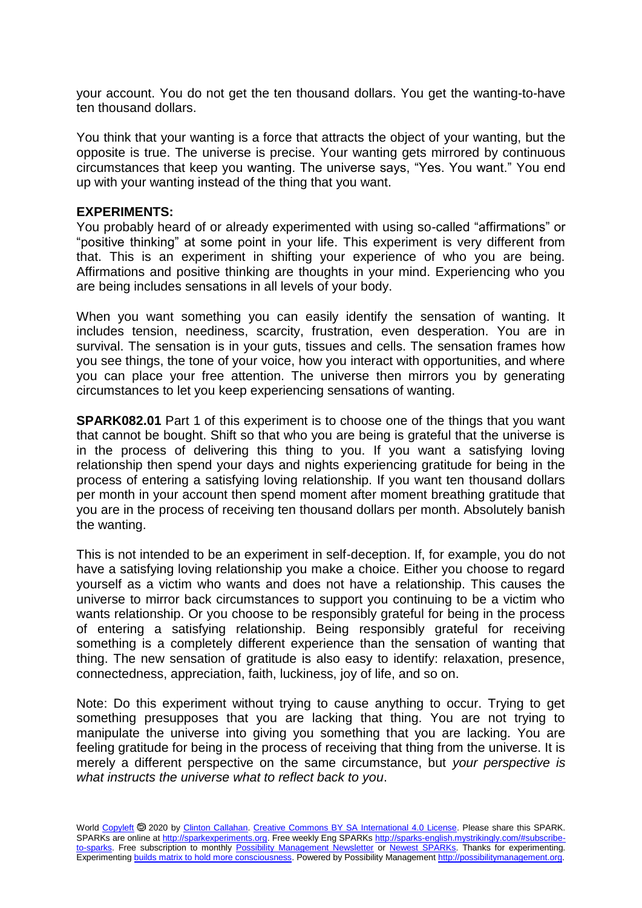your account. You do not get the ten thousand dollars. You get the wanting-to-have ten thousand dollars.

You think that your wanting is a force that attracts the object of your wanting, but the opposite is true. The universe is precise. Your wanting gets mirrored by continuous circumstances that keep you wanting. The universe says, "Yes. You want." You end up with your wanting instead of the thing that you want.

## **EXPERIMENTS:**

You probably heard of or already experimented with using so-called "affirmations" or "positive thinking" at some point in your life. This experiment is very different from that. This is an experiment in shifting your experience of who you are being. Affirmations and positive thinking are thoughts in your mind. Experiencing who you are being includes sensations in all levels of your body.

When you want something you can easily identify the sensation of wanting. It includes tension, neediness, scarcity, frustration, even desperation. You are in survival. The sensation is in your guts, tissues and cells. The sensation frames how you see things, the tone of your voice, how you interact with opportunities, and where you can place your free attention. The universe then mirrors you by generating circumstances to let you keep experiencing sensations of wanting.

**SPARK082.01** Part 1 of this experiment is to choose one of the things that you want that cannot be bought. Shift so that who you are being is grateful that the universe is in the process of delivering this thing to you. If you want a satisfying loving relationship then spend your days and nights experiencing gratitude for being in the process of entering a satisfying loving relationship. If you want ten thousand dollars per month in your account then spend moment after moment breathing gratitude that you are in the process of receiving ten thousand dollars per month. Absolutely banish the wanting.

This is not intended to be an experiment in self-deception. If, for example, you do not have a satisfying loving relationship you make a choice. Either you choose to regard yourself as a victim who wants and does not have a relationship. This causes the universe to mirror back circumstances to support you continuing to be a victim who wants relationship. Or you choose to be responsibly grateful for being in the process of entering a satisfying relationship. Being responsibly grateful for receiving something is a completely different experience than the sensation of wanting that thing. The new sensation of gratitude is also easy to identify: relaxation, presence, connectedness, appreciation, faith, luckiness, joy of life, and so on.

Note: Do this experiment without trying to cause anything to occur. Trying to get something presupposes that you are lacking that thing. You are not trying to manipulate the universe into giving you something that you are lacking. You are feeling gratitude for being in the process of receiving that thing from the universe. It is merely a different perspective on the same circumstance, but *your perspective is what instructs the universe what to reflect back to you*.

World [Copyleft](https://en.wikipedia.org/wiki/Copyleft) <sup>5</sup> 2020 by [Clinton Callahan.](http://clintoncallahan.mystrikingly.com/) [Creative Commons BY SA International 4.0 License.](https://creativecommons.org/licenses/by-sa/4.0/) Please share this SPARK. SPARKs are online at [http://sparkexperiments.org.](http://sparks-english.mystrikingly.com/) Free weekly Eng SPARKs [http://sparks-english.mystrikingly.com/#subscribe](http://sparks-english.mystrikingly.com/#subscribe-to-sparks)[to-sparks.](http://sparks-english.mystrikingly.com/#subscribe-to-sparks) Free subscription to monthly [Possibility Management Newsletter](https://possibilitymanagement.org/news/) or [Newest SPARKs.](https://www.clintoncallahan.org/newsletter-1) Thanks for experimenting. Experimentin[g builds matrix to hold more consciousness.](http://spaceport.mystrikingly.com/) Powered by Possibility Managemen[t http://possibilitymanagement.org.](http://possibilitymanagement.org/)